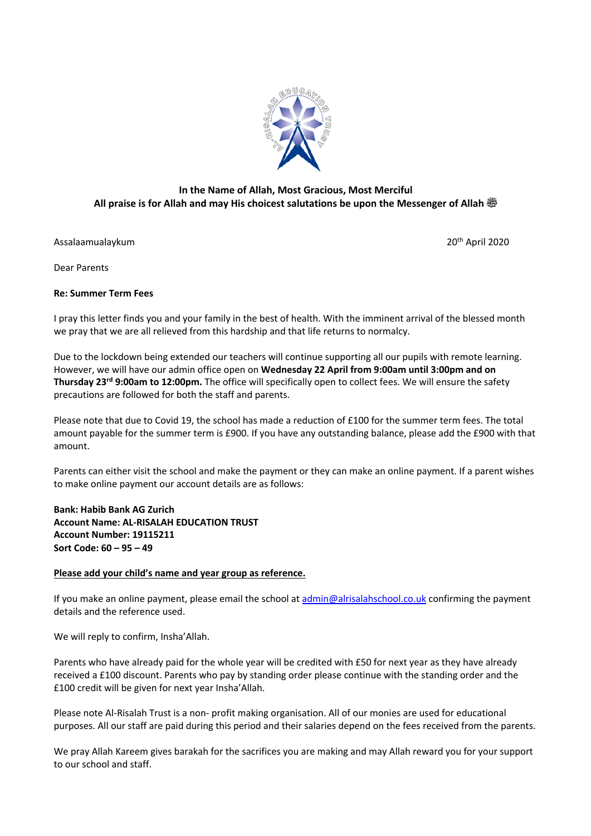

## **In the Name of Allah, Most Gracious, Most Merciful All praise is for Allah and may His choicest salutations be upon the Messenger of Allah صلى الله عليه وسلم**

Assalaamualaykum 20th April 2020

Dear Parents

## **Re: Summer Term Fees**

I pray this letter finds you and your family in the best of health. With the imminent arrival of the blessed month we pray that we are all relieved from this hardship and that life returns to normalcy.

Due to the lockdown being extended our teachers will continue supporting all our pupils with remote learning. However, we will have our admin office open on **Wednesday 22 April from 9:00am until 3:00pm and on Thursday 23rd 9:00am to 12:00pm.** The office will specifically open to collect fees. We will ensure the safety precautions are followed for both the staff and parents.

Please note that due to Covid 19, the school has made a reduction of £100 for the summer term fees. The total amount payable for the summer term is £900. If you have any outstanding balance, please add the £900 with that amount.

Parents can either visit the school and make the payment or they can make an online payment. If a parent wishes to make online payment our account details are as follows:

## **Bank: Habib Bank AG Zurich Account Name: AL-RISALAH EDUCATION TRUST Account Number: 19115211 Sort Code: 60 – 95 – 49**

## **Please add your child's name and year group as reference.**

If you make an online payment, please email the school at admin@alrisalahschool.co.uk confirming the payment details and the reference used.

We will reply to confirm, Insha'Allah.

Parents who have already paid for the whole year will be credited with £50 for next year as they have already received a £100 discount. Parents who pay by standing order please continue with the standing order and the £100 credit will be given for next year Insha'Allah.

Please note Al-Risalah Trust is a non- profit making organisation. All of our monies are used for educational purposes. All our staff are paid during this period and their salaries depend on the fees received from the parents.

We pray Allah Kareem gives barakah for the sacrifices you are making and may Allah reward you for your support to our school and staff.